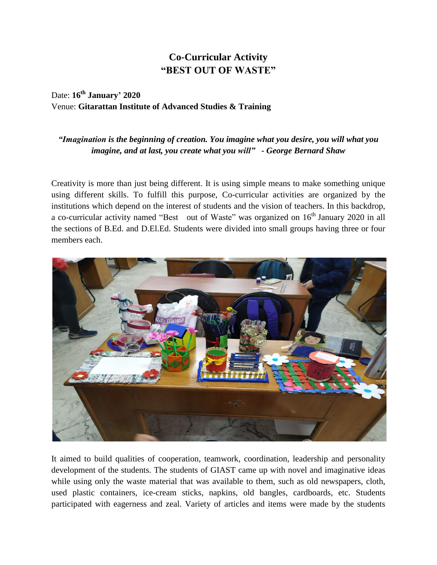## **Co-Curricular Activity "BEST OUT OF WASTE"**

## Date: **16th January' 2020** Venue: **Gitarattan Institute of Advanced Studies & Training**

## *"Imagination is the beginning of creation. You imagine what you desire, you will what you imagine, and at last, you create what you will" - George Bernard Shaw*

Creativity is more than just being different. It is using simple means to make something unique using different skills. To fulfill this purpose, Co-curricular activities are organized by the institutions which depend on the interest of students and the vision of teachers. In this backdrop, a co-curricular activity named "Best out of Waste" was organized on  $16<sup>th</sup>$  January 2020 in all the sections of B.Ed. and D.El.Ed. Students were divided into small groups having three or four members each.



It aimed to build qualities of cooperation, teamwork, coordination, leadership and personality development of the students. The students of GIAST came up with novel and imaginative ideas while using only the waste material that was available to them, such as old newspapers, cloth, used plastic containers, ice-cream sticks, napkins, old bangles, cardboards, etc. Students participated with eagerness and zeal. Variety of articles and items were made by the students